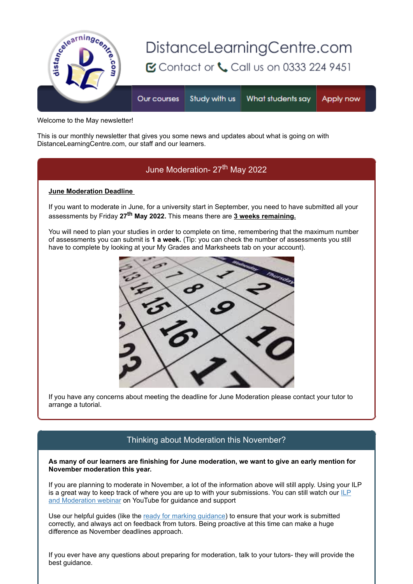

Welcome to the May newsletter!

This is our monthly newsletter that gives you some news and updates about what is going on with DistanceLearningCentre.com, our staff and our learners.

# June Moderation- 27<sup>th</sup> May 2022

#### **June Moderation Deadline**

If you want to moderate in June, for a university start in September, you need to have submitted all your assessments by Friday **27th May 2022.** This means there are **3 weeks remaining.**

You will need to plan your studies in order to complete on time, remembering that the maximum number of assessments you can submit is **1 a week.** (Tip: you can check the number of assessments you still have to complete by looking at your My Grades and Marksheets tab on your account).



If you have any concerns about meeting the deadline for June Moderation please contact your tutor to arrange a tutorial.

### Thinking about Moderation this November?

**As many of our learners are finishing for June moderation, we want to give an early mention for November moderation this year.**

If you are planning to moderate in November, a lot of the information above will still apply. Using your ILP [is a great way to keep track of where you are up to with your submissions. You can still watch our ILP](https://s6.newzapp.co.uk/t/click/1541500739/107396883/15776312/2) and Moderation webinar on YouTube for guidance and support

Use our helpful guides (like the [ready for marking guidance\)](https://s6.newzapp.co.uk/t/click/1541500739/107396883/15776313/2) to ensure that your work is submitted correctly, and always act on feedback from tutors. Being proactive at this time can make a huge difference as November deadlines approach.

If you ever have any questions about preparing for moderation, talk to your tutors- they will provide the best guidance.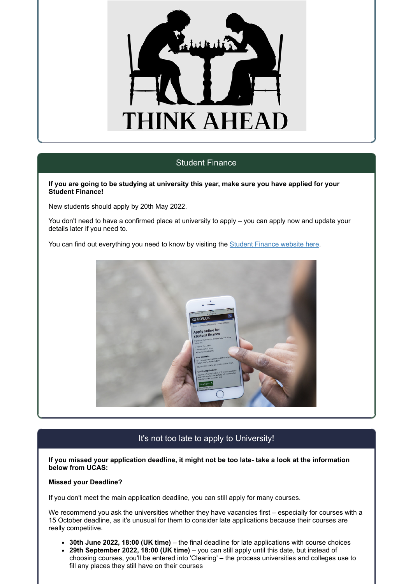

### Student Finance

#### **If you are going to be studying at university this year, make sure you have applied for your Student Finance!**

New students should apply by 20th May 2022.

You don't need to have a confirmed place at university to apply – you can apply now and update your details later if you need to.

You can find out everything you need to know by visiting the [Student Finance website here](https://s6.newzapp.co.uk/t/click/1541500739/107396883/15776314/2).



## It's not too late to apply to University!

**If you missed your application deadline, it might not be too late- take a look at the information below from UCAS:**

#### **Missed your Deadline?**

If you don't meet the main application deadline, you can still apply for many courses.

We recommend you ask the universities whether they have vacancies first – especially for courses with a 15 October deadline, as it's unusual for them to consider late applications because their courses are really competitive.

- **30th June 2022, 18:00 (UK time)** the final deadline for late applications with course choices
- **29th September 2022, 18:00 (UK time)** you can still apply until this date, but instead of choosing courses, you'll be entered into 'Clearing' – the process universities and colleges use to fill any places they still have on their courses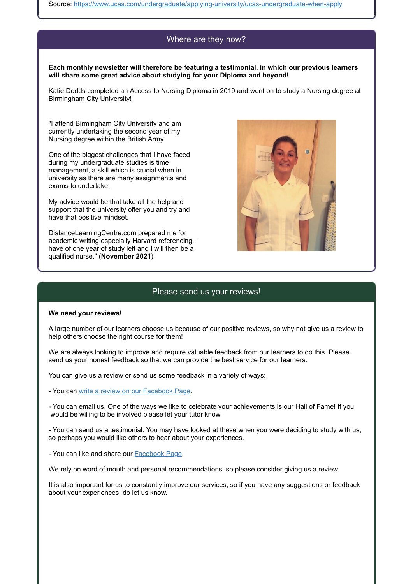Source: [https://www.ucas.com/undergraduate/applying-university/ucas-undergraduate-when-apply](https://s6.newzapp.co.uk/t/click/1541500739/107396883/15776315/2)

### Where are they now?

**Each monthly newsletter will therefore be featuring a testimonial, in which our previous learners will share some great advice about studying for your Diploma and beyond!**

Katie Dodds completed an Access to Nursing Diploma in 2019 and went on to study a Nursing degree at Birmingham City University!

"I attend Birmingham City University and am currently undertaking the second year of my Nursing degree within the British Army.

One of the biggest challenges that I have faced during my undergraduate studies is time management, a skill which is crucial when in university as there are many assignments and exams to undertake.

My advice would be that take all the help and support that the university offer you and try and have that positive mindset.

DistanceLearningCentre.com prepared me for academic writing especially Harvard referencing. I have of one year of study left and I will then be a qualified nurse." (**November 2021**)



## Please send us your reviews!

#### **We need your reviews!**

A large number of our learners choose us because of our positive reviews, so why not give us a review to help others choose the right course for them!

We are always looking to improve and require valuable feedback from our learners to do this. Please send us your honest feedback so that we can provide the best service for our learners.

You can give us a review or send us some feedback in a variety of ways:

- You can [write a review on our Facebook Page.](https://s6.newzapp.co.uk/t/click/1541500739/107396883/15776316/2)

- You can email us. One of the ways we like to celebrate your achievements is our Hall of Fame! If you would be willing to be involved please let your tutor know.

- You can send us a testimonial. You may have looked at these when you were deciding to study with us, so perhaps you would like others to hear about your experiences.

- You can like and share our [Facebook Page.](https://s6.newzapp.co.uk/t/click/1541500739/107396883/15776317/2)

We rely on word of mouth and personal recommendations, so please consider giving us a review.

It is also important for us to constantly improve our services, so if you have any suggestions or feedback about your experiences, do let us know.